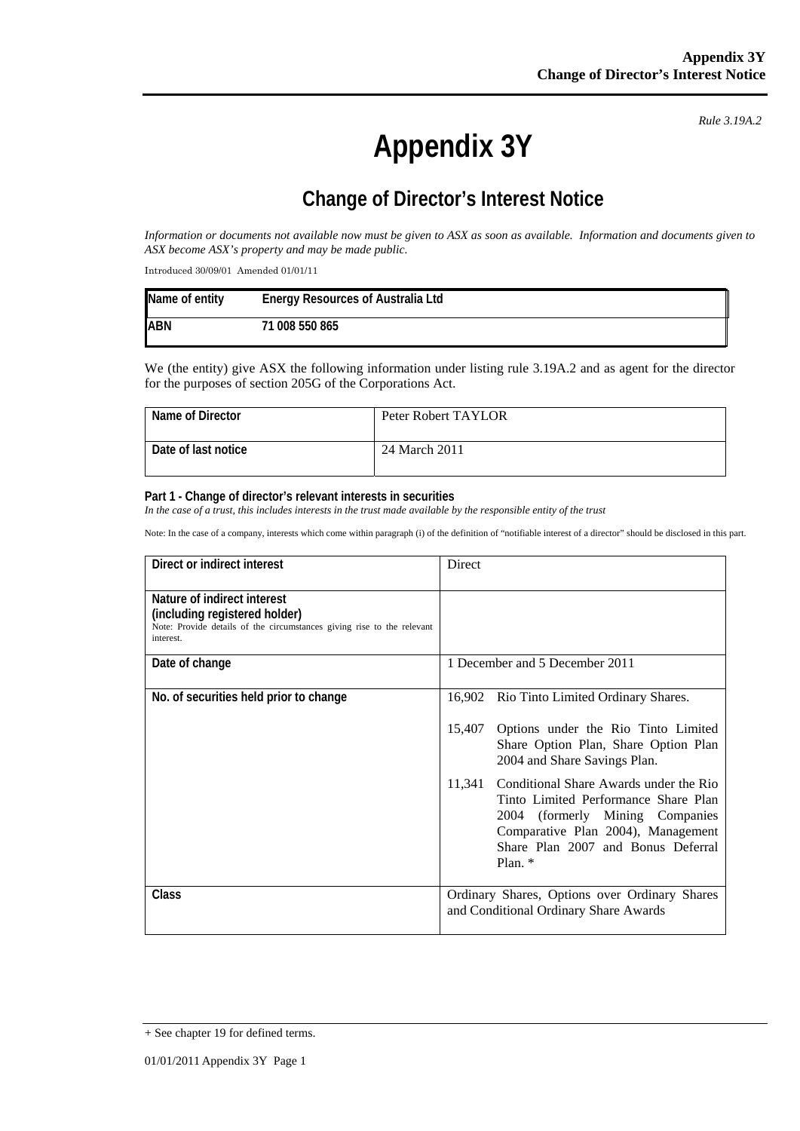*Rule 3.19A.2*

# **Appendix 3Y**

## **Change of Director's Interest Notice**

*Information or documents not available now must be given to ASX as soon as available. Information and documents given to ASX become ASX's property and may be made public.* 

Introduced 30/09/01 Amended 01/01/11

| Name of entity | <b>Energy Resources of Australia Ltd</b> |
|----------------|------------------------------------------|
| <b>ABN</b>     | 71 008 550 865                           |

We (the entity) give ASX the following information under listing rule 3.19A.2 and as agent for the director for the purposes of section 205G of the Corporations Act.

| Name of Director    | Peter Robert TAYLOR |
|---------------------|---------------------|
| Date of last notice | 24 March 2011       |

#### **Part 1 - Change of director's relevant interests in securities**

*In the case of a trust, this includes interests in the trust made available by the responsible entity of the trust* 

Note: In the case of a company, interests which come within paragraph (i) of the definition of "notifiable interest of a director" should be disclosed in this part.

| Direct or indirect interest                                                                                                                         | Direct                                                                                                                                                                                                               |
|-----------------------------------------------------------------------------------------------------------------------------------------------------|----------------------------------------------------------------------------------------------------------------------------------------------------------------------------------------------------------------------|
| Nature of indirect interest<br>(including registered holder)<br>Note: Provide details of the circumstances giving rise to the relevant<br>interest. |                                                                                                                                                                                                                      |
| Date of change                                                                                                                                      | 1 December and 5 December 2011                                                                                                                                                                                       |
| No. of securities held prior to change                                                                                                              | 16,902 Rio Tinto Limited Ordinary Shares.                                                                                                                                                                            |
|                                                                                                                                                     | 15,407<br>Options under the Rio Tinto Limited<br>Share Option Plan, Share Option Plan<br>2004 and Share Savings Plan.                                                                                                |
|                                                                                                                                                     | Conditional Share Awards under the Rio<br>11,341<br>Tinto Limited Performance Share Plan<br>2004 (formerly Mining Companies<br>Comparative Plan 2004), Management<br>Share Plan 2007 and Bonus Deferral<br>Plan. $*$ |
| <b>Class</b>                                                                                                                                        | Ordinary Shares, Options over Ordinary Shares<br>and Conditional Ordinary Share Awards                                                                                                                               |

<sup>+</sup> See chapter 19 for defined terms.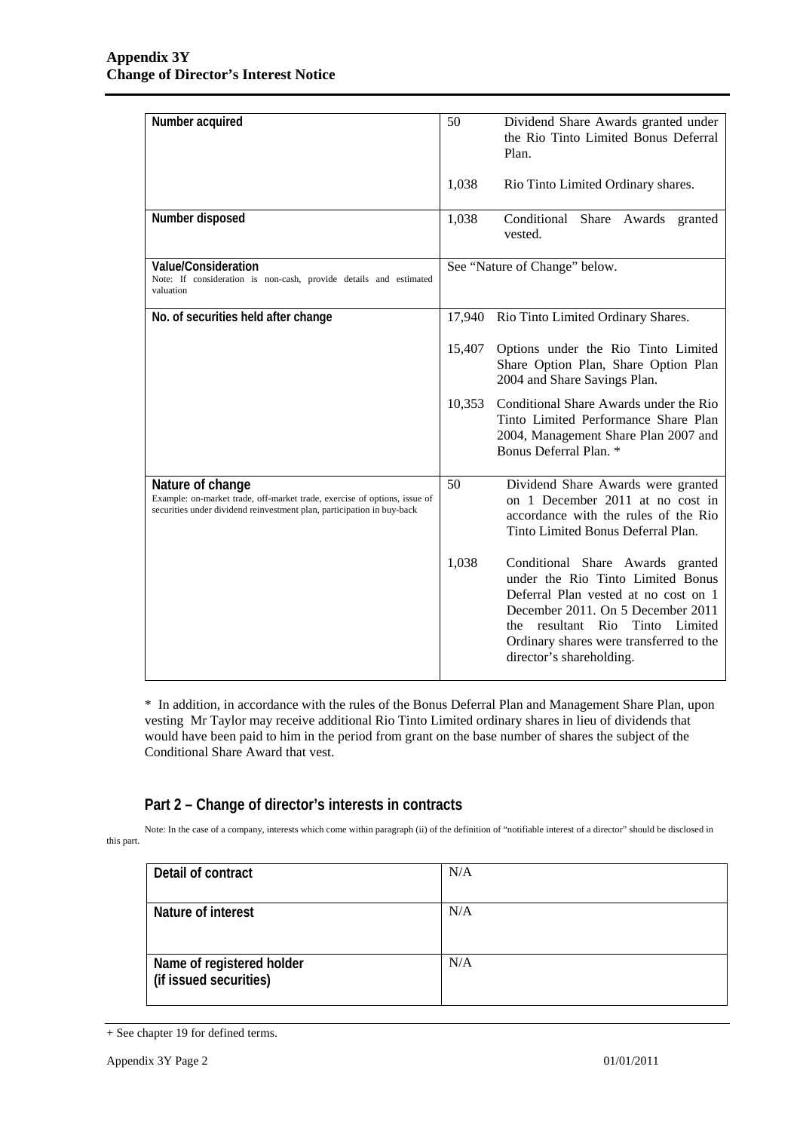| Number acquired                                                                                                                                                         | 50<br>Dividend Share Awards granted under<br>the Rio Tinto Limited Bonus Deferral<br>Plan.                                                                                                                                                                                     |
|-------------------------------------------------------------------------------------------------------------------------------------------------------------------------|--------------------------------------------------------------------------------------------------------------------------------------------------------------------------------------------------------------------------------------------------------------------------------|
|                                                                                                                                                                         | 1,038<br>Rio Tinto Limited Ordinary shares.                                                                                                                                                                                                                                    |
| Number disposed                                                                                                                                                         | Conditional Share Awards granted<br>1,038<br>vested.                                                                                                                                                                                                                           |
| Value/Consideration<br>Note: If consideration is non-cash, provide details and estimated<br>valuation                                                                   | See "Nature of Change" below.                                                                                                                                                                                                                                                  |
| No. of securities held after change                                                                                                                                     | Rio Tinto Limited Ordinary Shares.<br>17,940                                                                                                                                                                                                                                   |
|                                                                                                                                                                         | 15,407<br>Options under the Rio Tinto Limited<br>Share Option Plan, Share Option Plan<br>2004 and Share Savings Plan.                                                                                                                                                          |
|                                                                                                                                                                         | 10,353<br>Conditional Share Awards under the Rio<br>Tinto Limited Performance Share Plan<br>2004, Management Share Plan 2007 and<br>Bonus Deferral Plan. *                                                                                                                     |
| Nature of change<br>Example: on-market trade, off-market trade, exercise of options, issue of<br>securities under dividend reinvestment plan, participation in buy-back | 50<br>Dividend Share Awards were granted<br>on 1 December 2011 at no cost in<br>accordance with the rules of the Rio<br>Tinto Limited Bonus Deferral Plan.                                                                                                                     |
|                                                                                                                                                                         | 1,038<br>Conditional Share Awards granted<br>under the Rio Tinto Limited Bonus<br>Deferral Plan vested at no cost on 1<br>December 2011. On 5 December 2011<br>resultant Rio<br>Tinto<br>Limited<br>the<br>Ordinary shares were transferred to the<br>director's shareholding. |

\* In addition, in accordance with the rules of the Bonus Deferral Plan and Management Share Plan, upon vesting Mr Taylor may receive additional Rio Tinto Limited ordinary shares in lieu of dividends that would have been paid to him in the period from grant on the base number of shares the subject of the Conditional Share Award that vest.

### **Part 2 – Change of director's interests in contracts**

Note: In the case of a company, interests which come within paragraph (ii) of the definition of "notifiable interest of a director" should be disclosed in this part.

| Detail of contract                                  | N/A |
|-----------------------------------------------------|-----|
| Nature of interest                                  | N/A |
| Name of registered holder<br>(if issued securities) | N/A |

<sup>+</sup> See chapter 19 for defined terms.